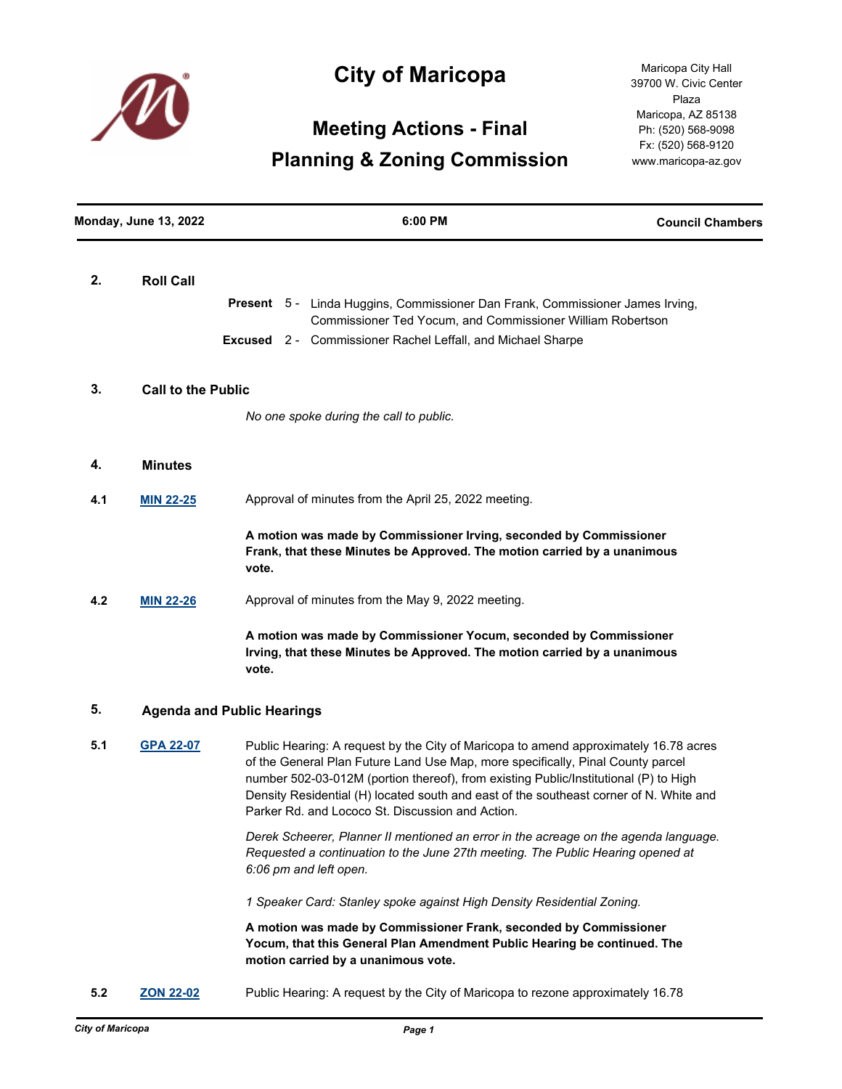

## **City of Maricopa**

# **Meeting Actions - Final Planning & Zoning Commission**

Maricopa City Hall 39700 W. Civic Center Plaza Maricopa, AZ 85138 Ph: (520) 568-9098 Fx: (520) 568-9120 www.maricopa-az.gov

| <b>Monday, June 13, 2022</b> |                           | 6:00 PM                                                                                                                                                                                                                                                                                                                                                                                                       | <b>Council Chambers</b> |  |
|------------------------------|---------------------------|---------------------------------------------------------------------------------------------------------------------------------------------------------------------------------------------------------------------------------------------------------------------------------------------------------------------------------------------------------------------------------------------------------------|-------------------------|--|
| 2.                           | <b>Roll Call</b>          | Present 5 - Linda Huggins, Commissioner Dan Frank, Commissioner James Irving,<br>Commissioner Ted Yocum, and Commissioner William Robertson<br><b>Excused</b> 2 - Commissioner Rachel Leffall, and Michael Sharpe                                                                                                                                                                                             |                         |  |
| 3.                           | <b>Call to the Public</b> |                                                                                                                                                                                                                                                                                                                                                                                                               |                         |  |
|                              |                           | No one spoke during the call to public.                                                                                                                                                                                                                                                                                                                                                                       |                         |  |
| 4.                           | <b>Minutes</b>            |                                                                                                                                                                                                                                                                                                                                                                                                               |                         |  |
| 4.1                          | <b>MIN 22-25</b>          | Approval of minutes from the April 25, 2022 meeting.                                                                                                                                                                                                                                                                                                                                                          |                         |  |
|                              |                           | A motion was made by Commissioner Irving, seconded by Commissioner<br>Frank, that these Minutes be Approved. The motion carried by a unanimous<br>vote.                                                                                                                                                                                                                                                       |                         |  |
| 4.2                          | <b>MIN 22-26</b>          | Approval of minutes from the May 9, 2022 meeting.                                                                                                                                                                                                                                                                                                                                                             |                         |  |
|                              |                           | A motion was made by Commissioner Yocum, seconded by Commissioner<br>Irving, that these Minutes be Approved. The motion carried by a unanimous<br>vote.                                                                                                                                                                                                                                                       |                         |  |
| 5.                           |                           | <b>Agenda and Public Hearings</b>                                                                                                                                                                                                                                                                                                                                                                             |                         |  |
| 5.1                          | <b>GPA 22-07</b>          | Public Hearing: A request by the City of Maricopa to amend approximately 16.78 acres<br>of the General Plan Future Land Use Map, more specifically, Pinal County parcel<br>number 502-03-012M (portion thereof), from existing Public/Institutional (P) to High<br>Density Residential (H) located south and east of the southeast corner of N. White and<br>Parker Rd. and Lococo St. Discussion and Action. |                         |  |
|                              |                           | Derek Scheerer, Planner II mentioned an error in the acreage on the agenda language.<br>Requested a continuation to the June 27th meeting. The Public Hearing opened at<br>6:06 pm and left open.                                                                                                                                                                                                             |                         |  |
|                              |                           | 1 Speaker Card: Stanley spoke against High Density Residential Zoning.                                                                                                                                                                                                                                                                                                                                        |                         |  |
|                              |                           | uation was mode by Commissioner Fronk, seconded by Commissioner                                                                                                                                                                                                                                                                                                                                               |                         |  |

**A motion was made by Commissioner Frank, seconded by Commissioner Yocum, that this General Plan Amendment Public Hearing be continued. The motion carried by a unanimous vote.**

**5.2 [ZON 22-02](http://maricopa.legistar.com/gateway.aspx?m=l&id=/matter.aspx?key=11320)** Public Hearing: A request by the City of Maricopa to rezone approximately 16.78